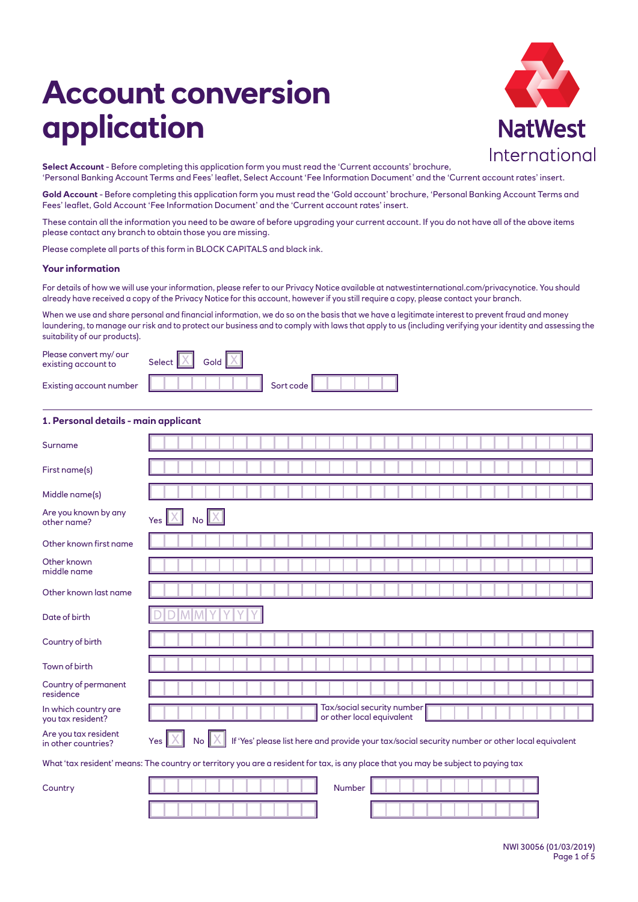# **Account conversion application**



**Select Account** - Before completing this application form you must read the 'Current accounts' brochure, 'Personal Banking Account Terms and Fees' leaflet, Select Account 'Fee Information Document' and the 'Current account rates' insert.

**Gold Account** - Before completing this application form you must read the 'Gold account' brochure, 'Personal Banking Account Terms and Fees' leaflet, Gold Account 'Fee Information Document' and the 'Current account rates' insert.

These contain all the information you need to be aware of before upgrading your current account. If you do not have all of the above items please contact any branch to obtain those you are missing.

Please complete all parts of this form in BLOCK CAPITALS and black ink.

## **Your information**

For details of how we will use your information, please refer to our Privacy Notice available at natwestinternational.com/privacynotice. You should already have received a copy of the Privacy Notice for this account, however if you still require a copy, please contact your branch.

When we use and share personal and financial information, we do so on the basis that we have a legitimate interest to prevent fraud and money laundering, to manage our risk and to protect our business and to comply with laws that apply to us (including verifying your identity and assessing the suitability of our products).

Please convert my/ ou existing account to

Existing account num

|     | Select $X$ Gold $X$ |  |
|-----|---------------------|--|
| ber |                     |  |

| Sort code l |  |  |  |
|-------------|--|--|--|

## **1. Personal details - main applicant**

| Surname                                     |                                                                                                                                        |
|---------------------------------------------|----------------------------------------------------------------------------------------------------------------------------------------|
| First name(s)                               |                                                                                                                                        |
| Middle name(s)                              |                                                                                                                                        |
| Are you known by any<br>other name?         | Yes<br><b>No</b>                                                                                                                       |
| Other known first name                      |                                                                                                                                        |
| Other known<br>middle name                  |                                                                                                                                        |
| Other known last name                       |                                                                                                                                        |
| Date of birth                               |                                                                                                                                        |
| Country of birth                            |                                                                                                                                        |
| Town of birth                               |                                                                                                                                        |
| Country of permanent<br>residence           |                                                                                                                                        |
| In which country are<br>you tax resident?   | Tax/social security number<br>or other local equivalent                                                                                |
| Are you tax resident<br>in other countries? | No $\mathbb{X}$<br>If 'Yes' please list here and provide your tax/social security number or other local equivalent<br>Yes <sub>l</sub> |
|                                             | What 'tax resident' means: The country or territory you are a resident for tax, is any place that you may be subject to paying tax     |
| Country                                     | Number                                                                                                                                 |
|                                             |                                                                                                                                        |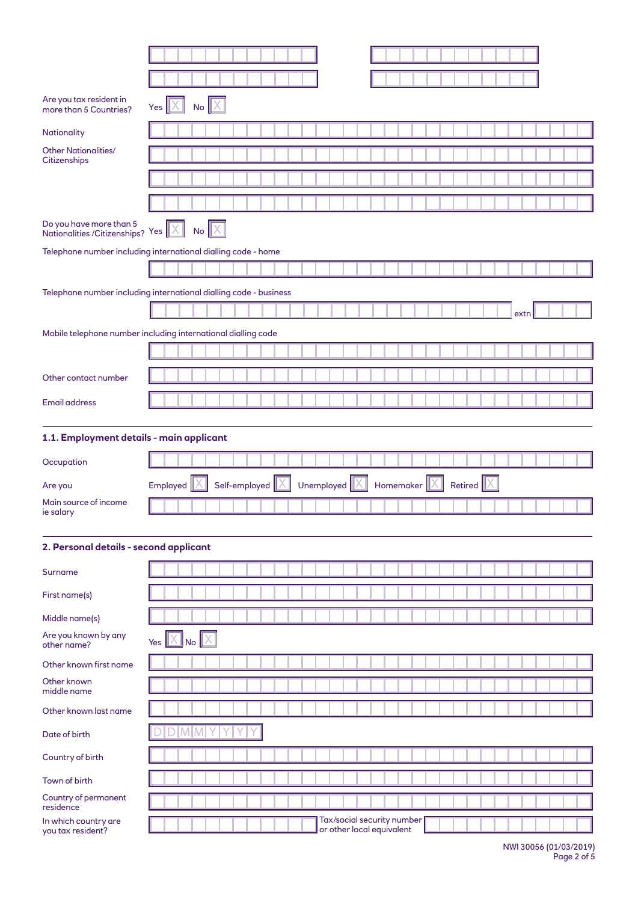| Are you tax resident in<br>more than 5 Countries?                 | Yes $  X  $    |    | $No$ $X$ |  |                 |  |              |  |  |                                       |  |  |                      |  |      |  |  |
|-------------------------------------------------------------------|----------------|----|----------|--|-----------------|--|--------------|--|--|---------------------------------------|--|--|----------------------|--|------|--|--|
| Nationality                                                       |                |    |          |  |                 |  |              |  |  |                                       |  |  |                      |  |      |  |  |
| <b>Other Nationalities/</b><br>Citizenships                       |                |    |          |  |                 |  |              |  |  |                                       |  |  |                      |  |      |  |  |
|                                                                   |                |    |          |  |                 |  |              |  |  |                                       |  |  |                      |  |      |  |  |
|                                                                   |                |    |          |  |                 |  |              |  |  |                                       |  |  |                      |  |      |  |  |
| Do you have more than 5<br>Nationalities/Citizenships? Yes X      |                |    | $No$ $X$ |  |                 |  |              |  |  |                                       |  |  |                      |  |      |  |  |
| Telephone number including international dialling code - home     |                |    |          |  |                 |  |              |  |  |                                       |  |  |                      |  |      |  |  |
|                                                                   |                |    |          |  |                 |  |              |  |  |                                       |  |  |                      |  |      |  |  |
| Telephone number including international dialling code - business |                |    |          |  |                 |  |              |  |  |                                       |  |  |                      |  |      |  |  |
|                                                                   |                |    |          |  |                 |  |              |  |  |                                       |  |  |                      |  | extn |  |  |
| Mobile telephone number including international dialling code     |                |    |          |  |                 |  |              |  |  |                                       |  |  |                      |  |      |  |  |
|                                                                   |                |    |          |  |                 |  |              |  |  |                                       |  |  |                      |  |      |  |  |
| Other contact number                                              |                |    |          |  |                 |  |              |  |  |                                       |  |  |                      |  |      |  |  |
| <b>Email address</b>                                              |                |    |          |  |                 |  |              |  |  |                                       |  |  |                      |  |      |  |  |
| 1.1. Employment details - main applicant                          |                |    |          |  |                 |  |              |  |  |                                       |  |  |                      |  |      |  |  |
|                                                                   |                |    |          |  |                 |  |              |  |  |                                       |  |  |                      |  |      |  |  |
|                                                                   |                |    |          |  |                 |  |              |  |  |                                       |  |  |                      |  |      |  |  |
| Occupation                                                        |                |    |          |  |                 |  |              |  |  |                                       |  |  |                      |  |      |  |  |
| Are you<br>Main source of income                                  | Employed       |    |          |  | Self-employed X |  | Unemployed X |  |  | Homemaker $\ \overline{\mathsf{X}}\ $ |  |  | Retired $\mathbb{X}$ |  |      |  |  |
| ie salary                                                         |                |    |          |  |                 |  |              |  |  |                                       |  |  |                      |  |      |  |  |
|                                                                   |                |    |          |  |                 |  |              |  |  |                                       |  |  |                      |  |      |  |  |
| 2. Personal details - second applicant                            |                |    |          |  |                 |  |              |  |  |                                       |  |  |                      |  |      |  |  |
| Surname                                                           |                |    |          |  |                 |  |              |  |  |                                       |  |  |                      |  |      |  |  |
| First name(s)                                                     |                |    |          |  |                 |  |              |  |  |                                       |  |  |                      |  |      |  |  |
| Middle name(s)                                                    |                |    |          |  |                 |  |              |  |  |                                       |  |  |                      |  |      |  |  |
| Are you known by any<br>other name?                               | Yes $X$ No $X$ |    |          |  |                 |  |              |  |  |                                       |  |  |                      |  |      |  |  |
| Other known first name                                            |                |    |          |  |                 |  |              |  |  |                                       |  |  |                      |  |      |  |  |
| Other known<br>middle name                                        |                |    |          |  |                 |  |              |  |  |                                       |  |  |                      |  |      |  |  |
| Other known last name                                             |                |    |          |  |                 |  |              |  |  |                                       |  |  |                      |  |      |  |  |
| Date of birth                                                     |                | MM |          |  |                 |  |              |  |  |                                       |  |  |                      |  |      |  |  |
| Country of birth                                                  |                |    |          |  |                 |  |              |  |  |                                       |  |  |                      |  |      |  |  |
| Town of birth                                                     |                |    |          |  |                 |  |              |  |  |                                       |  |  |                      |  |      |  |  |
| Country of permanent<br>residence                                 |                |    |          |  |                 |  |              |  |  |                                       |  |  |                      |  |      |  |  |

NWI 30056 (01/03/2019) Page 2 of 5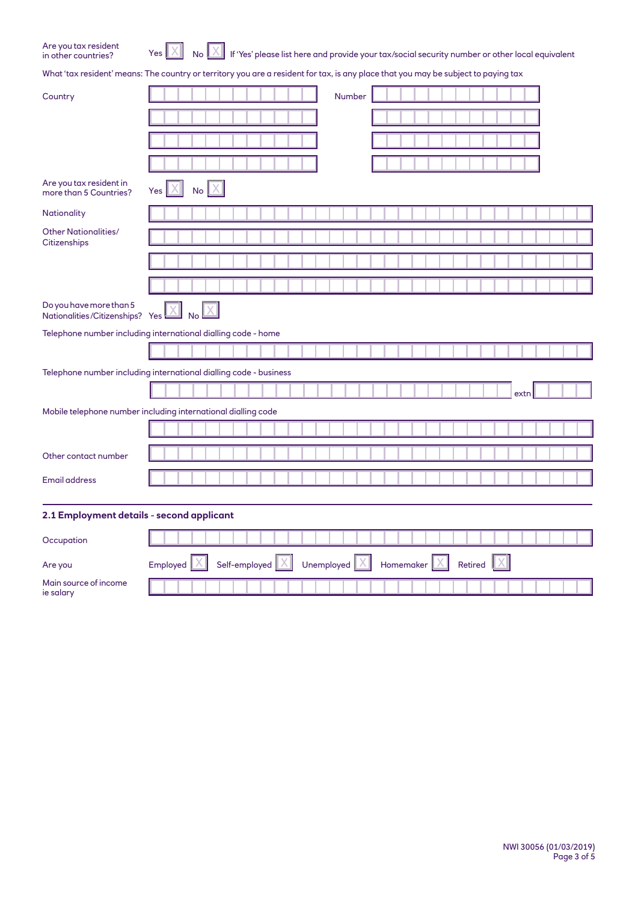|  | Are you tax resident |  |
|--|----------------------|--|
|  | in other countries?  |  |

it  $Yes$   $X$  No  $X$  If 'Yes' please list here and provide your tax/social security number or other local equivalent

What 'tax resident' means: The country or territory you are a resident for tax, is any place that you may be subject to paying tax

| Country                                                           |                             |               | Number     |           |         |      |  |
|-------------------------------------------------------------------|-----------------------------|---------------|------------|-----------|---------|------|--|
|                                                                   |                             |               |            |           |         |      |  |
|                                                                   |                             |               |            |           |         |      |  |
|                                                                   |                             |               |            |           |         |      |  |
| Are you tax resident in<br>more than 5 Countries?                 | <b>No</b><br>Yes            |               |            |           |         |      |  |
| Nationality                                                       |                             |               |            |           |         |      |  |
| <b>Other Nationalities/</b><br>Citizenships                       |                             |               |            |           |         |      |  |
|                                                                   |                             |               |            |           |         |      |  |
|                                                                   |                             |               |            |           |         |      |  |
| Do you have more than 5<br>Nationalities/Citizenships? Yes        | $\overline{\phantom{a}}$ No |               |            |           |         |      |  |
| Telephone number including international dialling code - home     |                             |               |            |           |         |      |  |
|                                                                   |                             |               |            |           |         |      |  |
| Telephone number including international dialling code - business |                             |               |            |           |         |      |  |
|                                                                   |                             |               |            |           |         | extn |  |
| Mobile telephone number including international dialling code     |                             |               |            |           |         |      |  |
|                                                                   |                             |               |            |           |         |      |  |
| Other contact number                                              |                             |               |            |           |         |      |  |
| <b>Email address</b>                                              |                             |               |            |           |         |      |  |
| 2.1 Employment details - second applicant                         |                             |               |            |           |         |      |  |
| Occupation                                                        |                             |               |            |           |         |      |  |
| Are you                                                           | Employed                    | Self-employed | Unemployed | Homemaker | Retired |      |  |
| Main source of income<br>ie salary                                |                             |               |            |           |         |      |  |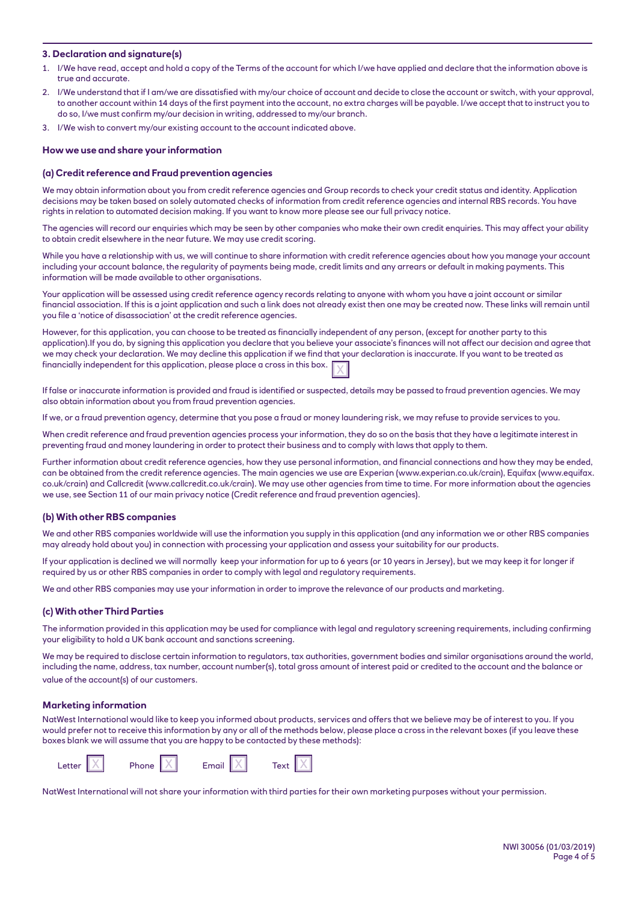# **3. Declaration and signature(s)**

- 1. I/We have read, accept and hold a copy of the Terms of the account for which I/we have applied and declare that the information above is true and accurate.
- 2. I/We understand that if I am/we are dissatisfied with my/our choice of account and decide to close the account or switch, with your approval, to another account within 14 days of the first payment into the account, no extra charges will be payable. I/we accept that to instruct you to do so, I/we must confirm my/our decision in writing, addressed to my/our branch.
- 3. I/We wish to convert my/our existing account to the account indicated above.

#### **How we use and share your information**

#### **(a) Credit reference and Fraud prevention agencies**

We may obtain information about you from credit reference agencies and Group records to check your credit status and identity. Application decisions may be taken based on solely automated checks of information from credit reference agencies and internal RBS records. You have rights in relation to automated decision making. If you want to know more please see our full privacy notice.

The agencies will record our enquiries which may be seen by other companies who make their own credit enquiries. This may affect your ability to obtain credit elsewhere in the near future. We may use credit scoring.

While you have a relationship with us, we will continue to share information with credit reference agencies about how you manage your account including your account balance, the regularity of payments being made, credit limits and any arrears or default in making payments. This information will be made available to other organisations.

Your application will be assessed using credit reference agency records relating to anyone with whom you have a joint account or similar financial association. If this is a joint application and such a link does not already exist then one may be created now. These links will remain until you file a 'notice of disassociation' at the credit reference agencies.

However, for this application, you can choose to be treated as financially independent of any person, (except for another party to this application).If you do, by signing this application you declare that you believe your associate's finances will not affect our decision and agree that we may check your declaration. We may decline this application if we find that your declaration is inaccurate. If you want to be treated as financially independent for this application, please place a cross in this box.

If false or inaccurate information is provided and fraud is identified or suspected, details may be passed to fraud prevention agencies. We may also obtain information about you from fraud prevention agencies.

If we, or a fraud prevention agency, determine that you pose a fraud or money laundering risk, we may refuse to provide services to you.

When credit reference and fraud prevention agencies process your information, they do so on the basis that they have a legitimate interest in preventing fraud and money laundering in order to protect their business and to comply with laws that apply to them.

Further information about credit reference agencies, how they use personal information, and financial connections and how they may be ended, can be obtained from the credit reference agencies. The main agencies we use are Experian (www.experian.co.uk/crain), Equifax (www.equifax. co.uk/crain) and Callcredit (www.callcredit.co.uk/crain). We may use other agencies from time to time. For more information about the agencies we use, see Section 11 of our main privacy notice (Credit reference and fraud prevention agencies).

#### **(b) With other RBS companies**

We and other RBS companies worldwide will use the information you supply in this application (and any information we or other RBS companies may already hold about you) in connection with processing your application and assess your suitability for our products.

If your application is declined we will normally keep your information for up to 6 years (or 10 years in Jersey), but we may keep it for longer if required by us or other RBS companies in order to comply with legal and regulatory requirements.

We and other RBS companies may use your information in order to improve the relevance of our products and marketing.

#### **(c) With other Third Parties**

The information provided in this application may be used for compliance with legal and regulatory screening requirements, including confirming your eligibility to hold a UK bank account and sanctions screening.

We may be required to disclose certain information to regulators, tax authorities, government bodies and similar organisations around the world, including the name, address, tax number, account number(s), total gross amount of interest paid or credited to the account and the balance or value of the account(s) of our customers.

#### **Marketing information**

NatWest International would like to keep you informed about products, services and offers that we believe may be of interest to you. If you would prefer not to receive this information by any or all of the methods below, please place a cross in the relevant boxes (if you leave these boxes blank we will assume that you are happy to be contacted by these methods):



NatWest International will not share your information with third parties for their own marketing purposes without your permission.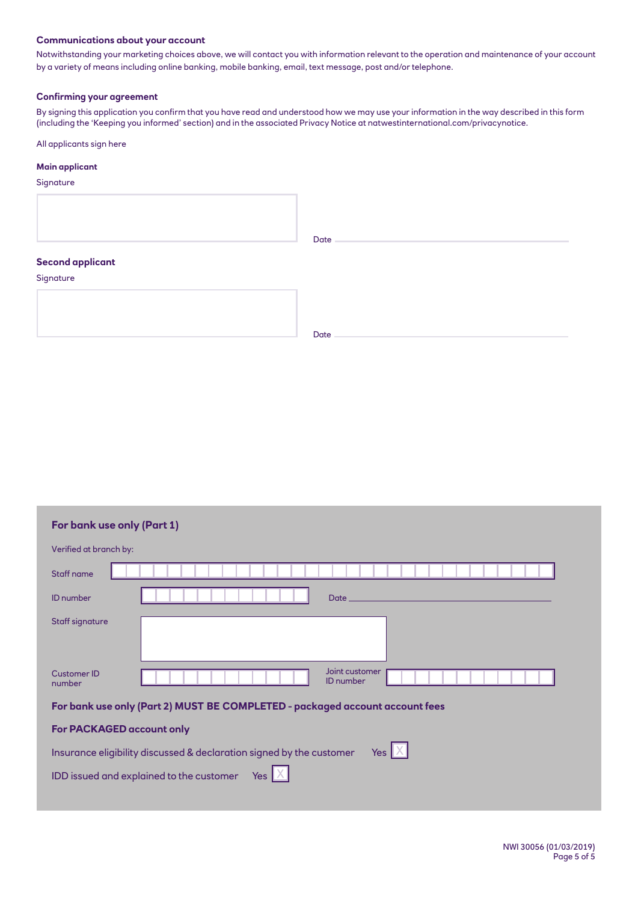# **Communications about your account**

Notwithstanding your marketing choices above, we will contact you with information relevant to the operation and maintenance of your account by a variety of means including online banking, mobile banking, email, text message, post and/or telephone.

# **Confirming your agreement**

By signing this application you confirm that you have read and understood how we may use your information in the way described in this form (including the 'Keeping you informed' section) and in the associated Privacy Notice at natwestinternational.com/privacynotice.

All applicants sign here

# **Main applicant**

**Signature** 

|                                      | Date |
|--------------------------------------|------|
| <b>Second applicant</b><br>Signature |      |
|                                      | Date |

| For bank use only (Part 1)                                                               |                        |
|------------------------------------------------------------------------------------------|------------------------|
|                                                                                          | Verified at branch by: |
|                                                                                          | Staff name             |
| Date_                                                                                    | <b>ID</b> number       |
|                                                                                          | Staff signature        |
|                                                                                          |                        |
| Joint customer<br><b>ID</b> number                                                       | Customer ID<br>number  |
| For bank use only (Part 2) MUST BE COMPLETED - packaged account account fees             |                        |
| For PACKAGED account only                                                                |                        |
| Yes $\mathbb{X}$<br>Insurance eligibility discussed & declaration signed by the customer |                        |
| IDD issued and explained to the customer<br>Yes                                          |                        |
|                                                                                          |                        |